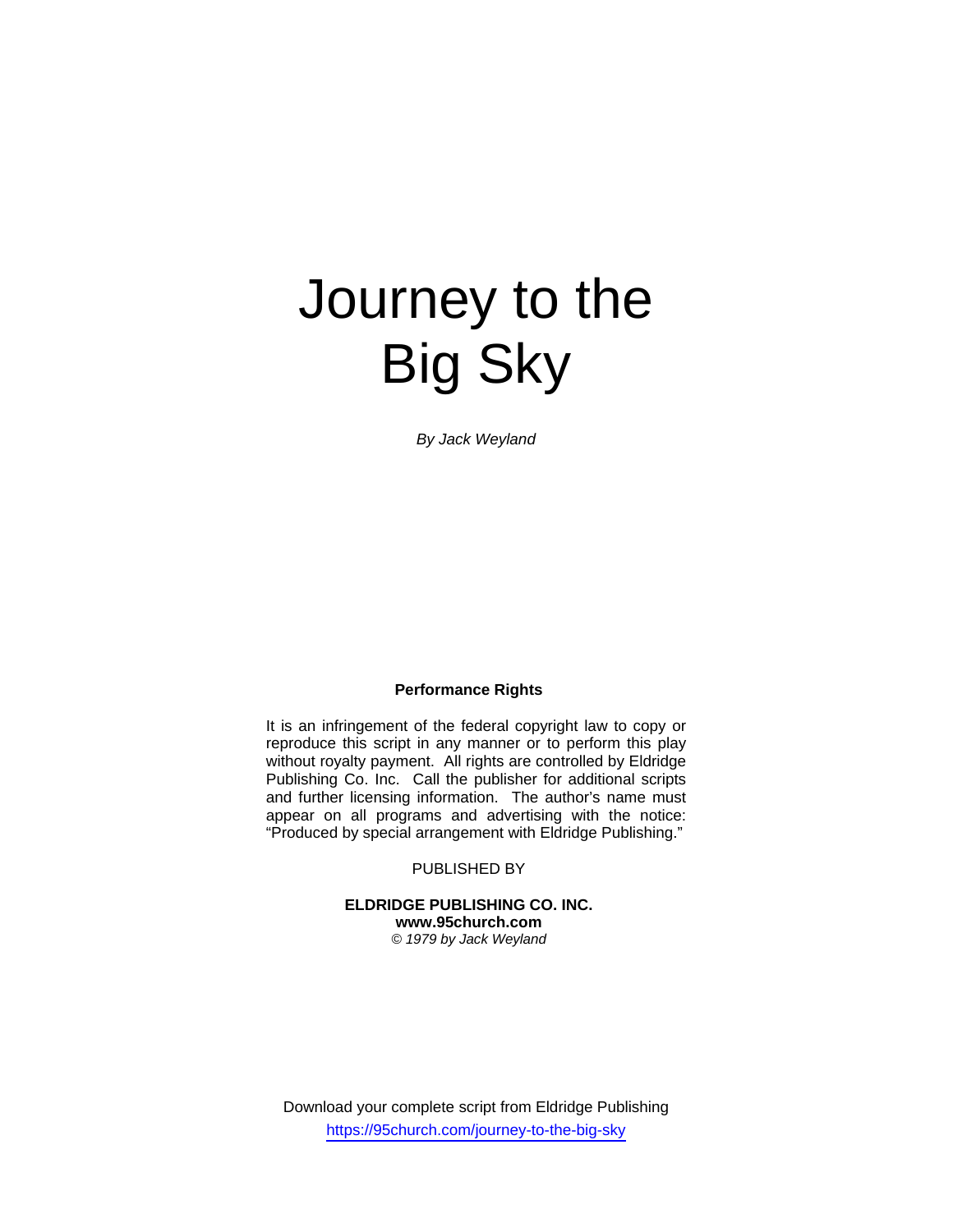# Journey to the Big Sky

*By Jack Weyland* 

#### **Performance Rights**

It is an infringement of the federal copyright law to copy or reproduce this script in any manner or to perform this play without royalty payment. All rights are controlled by Eldridge Publishing Co. Inc. Call the publisher for additional scripts and further licensing information. The author's name must appear on all programs and advertising with the notice: "Produced by special arrangement with Eldridge Publishing."

PUBLISHED BY

**ELDRIDGE PUBLISHING CO. INC. www.95church.com**  *© 1979 by Jack Weyland* 

Download your complete script from Eldridge Publishing https://95church.com/journey-to-the-big-sky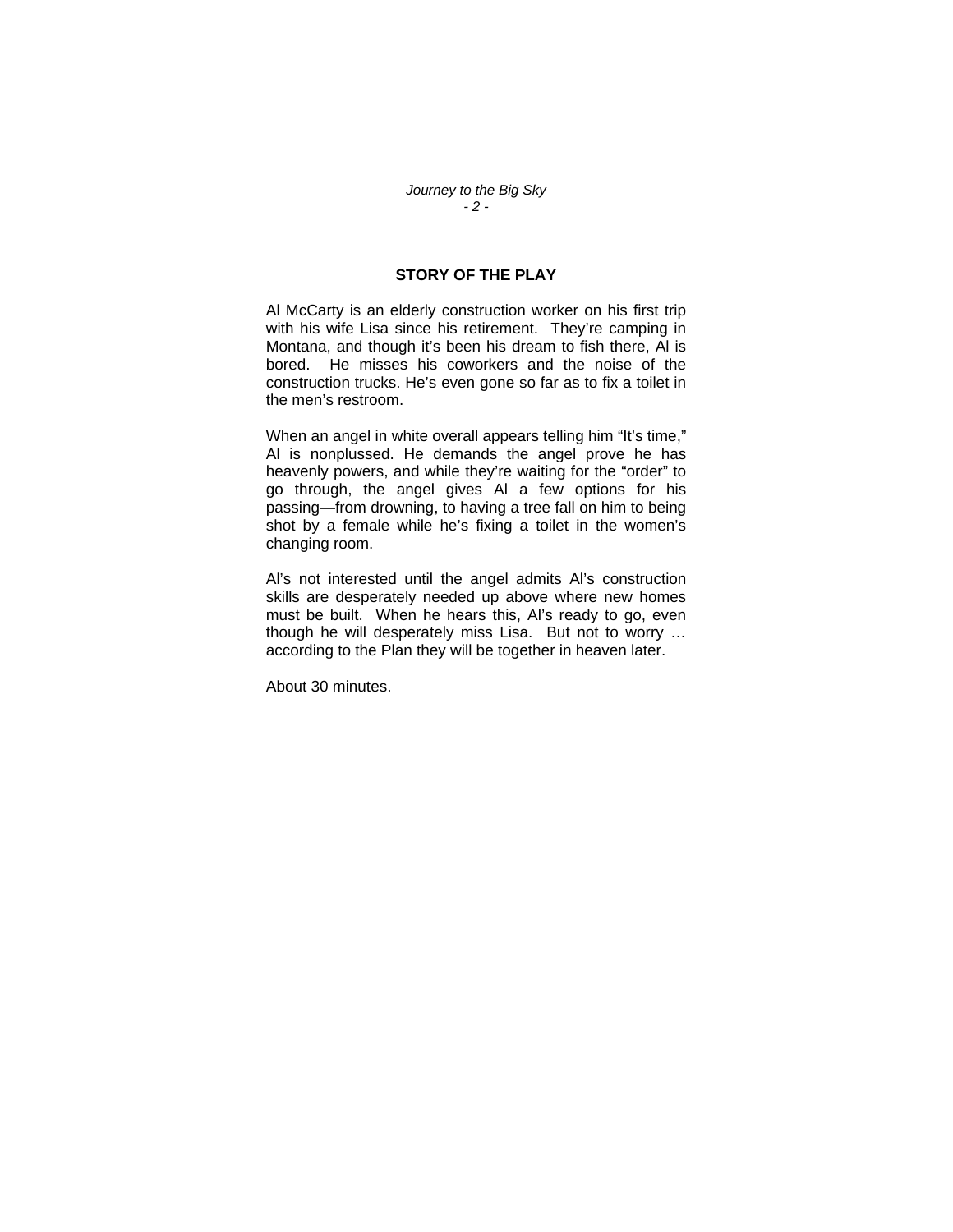### **STORY OF THE PLAY**

Al McCarty is an elderly construction worker on his first trip with his wife Lisa since his retirement. They're camping in Montana, and though it's been his dream to fish there, Al is bored. He misses his coworkers and the noise of the construction trucks. He's even gone so far as to fix a toilet in the men's restroom.

When an angel in white overall appears telling him "It's time," Al is nonplussed. He demands the angel prove he has heavenly powers, and while they're waiting for the "order" to go through, the angel gives Al a few options for his passing—from drowning, to having a tree fall on him to being shot by a female while he's fixing a toilet in the women's changing room.

Al's not interested until the angel admits Al's construction skills are desperately needed up above where new homes must be built. When he hears this, Al's ready to go, even though he will desperately miss Lisa. But not to worry … according to the Plan they will be together in heaven later.

About 30 minutes.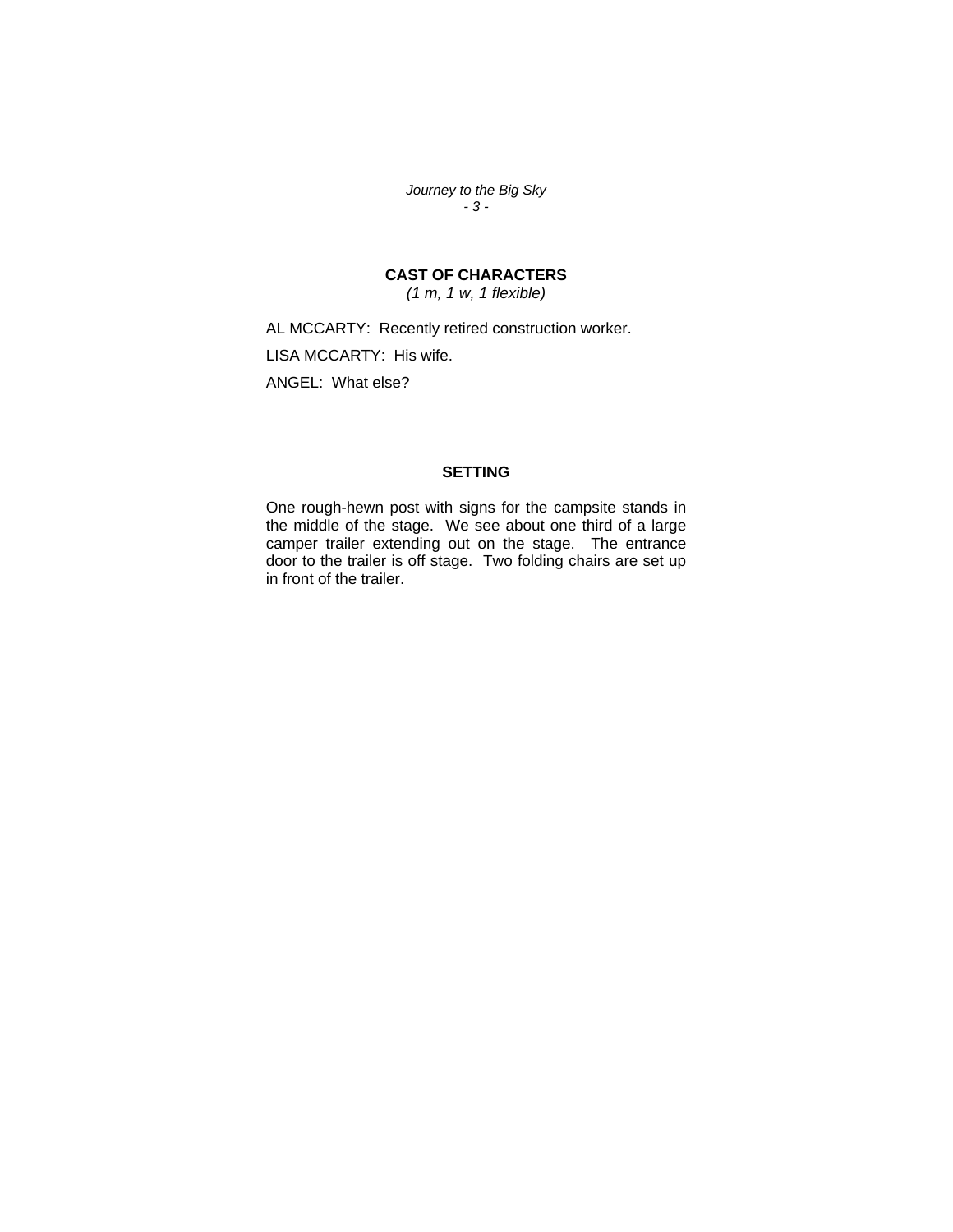*Journey to the Big Sky - 3 -* 

## **CAST OF CHARACTERS**

*(1 m, 1 w, 1 flexible)* 

AL MCCARTY: Recently retired construction worker. LISA MCCARTY: His wife. ANGEL: What else?

## **SETTING**

One rough-hewn post with signs for the campsite stands in the middle of the stage. We see about one third of a large camper trailer extending out on the stage. The entrance door to the trailer is off stage. Two folding chairs are set up in front of the trailer.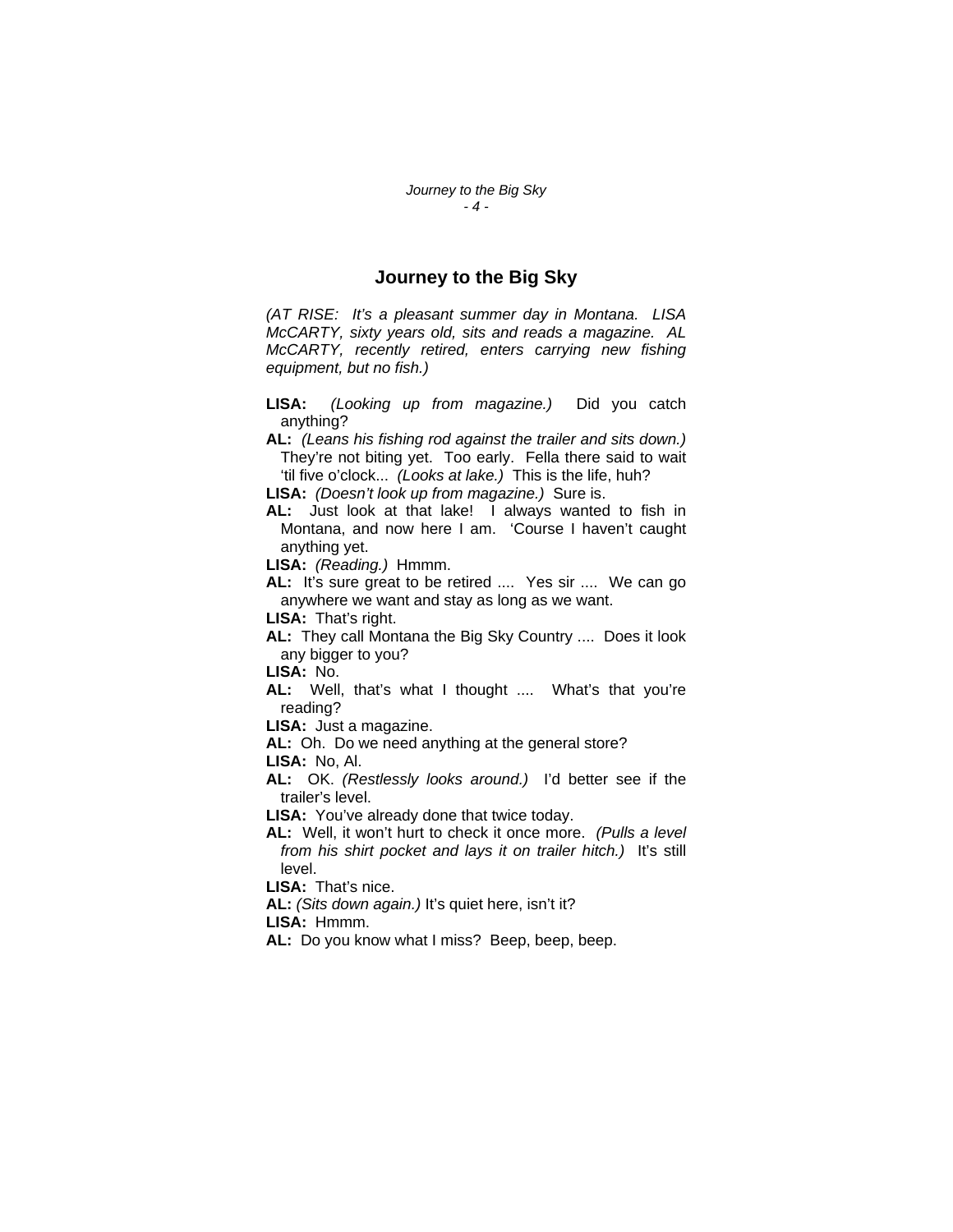#### **Journey to the Big Sky**

*(AT RISE: It's a pleasant summer day in Montana. LISA McCARTY, sixty years old, sits and reads a magazine. AL McCARTY, recently retired, enters carrying new fishing equipment, but no fish.)* 

**LISA:** *(Looking up from magazine.)* Did you catch anything?

**AL:** *(Leans his fishing rod against the trailer and sits down.)*  They're not biting yet. Too early. Fella there said to wait 'til five o'clock... *(Looks at lake.)* This is the life, huh?

**LISA:** *(Doesn't look up from magazine.)* Sure is.

**AL:** Just look at that lake! I always wanted to fish in Montana, and now here I am. 'Course I haven't caught anything yet.

**LISA:** *(Reading.)* Hmmm.

**AL:** It's sure great to be retired .... Yes sir .... We can go anywhere we want and stay as long as we want.

**LISA:** That's right.

**AL:** They call Montana the Big Sky Country .... Does it look any bigger to you?

**LISA:** No.

**AL:** Well, that's what I thought .... What's that you're reading?

**LISA:** Just a magazine.

**AL:** Oh. Do we need anything at the general store?

**LISA:** No, Al.

**AL:** OK. *(Restlessly looks around.)* I'd better see if the trailer's level.

**LISA:** You've already done that twice today.

**AL:** Well, it won't hurt to check it once more. *(Pulls a level from his shirt pocket and lays it on trailer hitch.)* It's still level.

**LISA:** That's nice.

**AL:** *(Sits down again.)* It's quiet here, isn't it?

**LISA:** Hmmm.

**AL:** Do you know what I miss? Beep, beep, beep.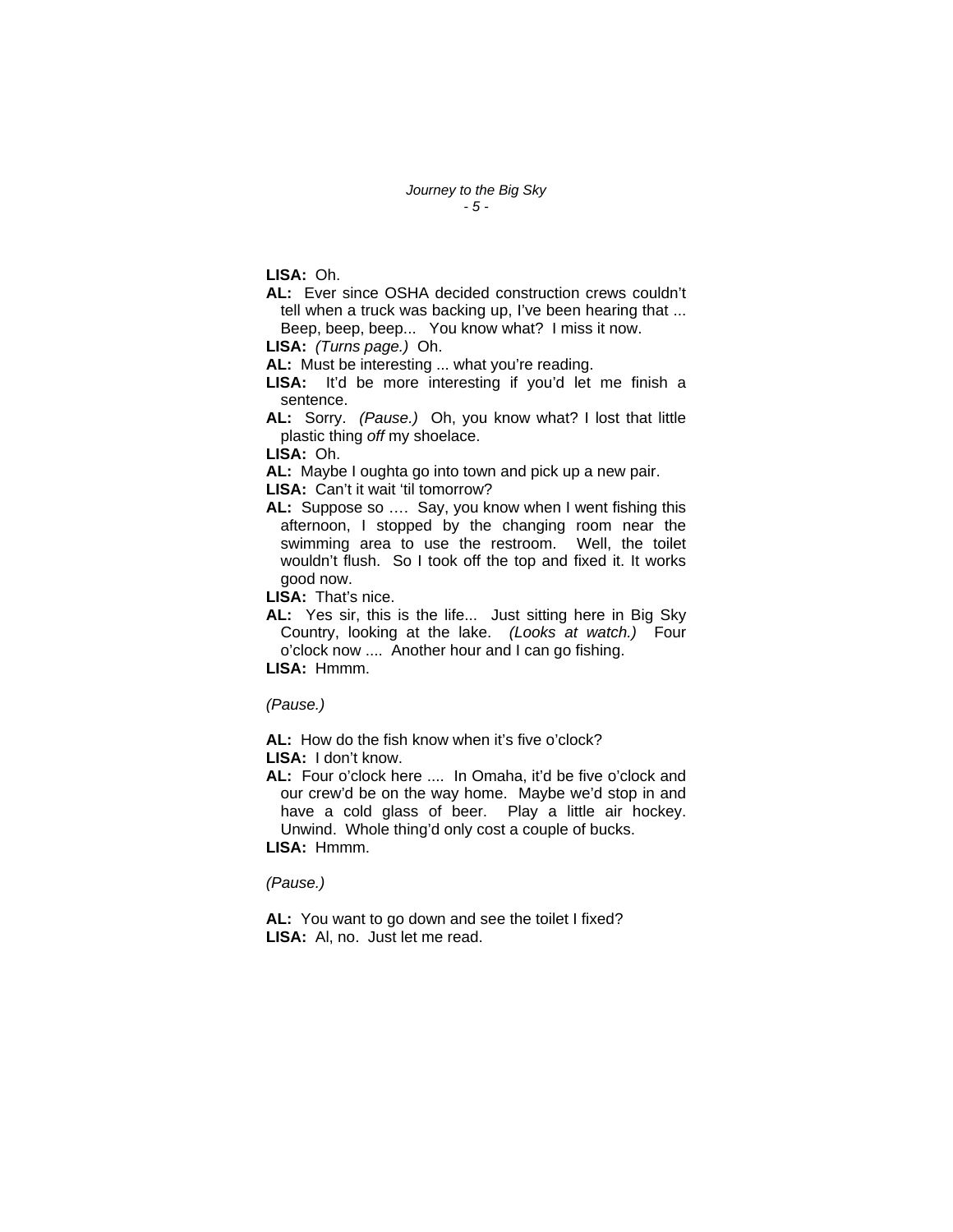**LISA:** Oh.

- **AL:** Ever since OSHA decided construction crews couldn't tell when a truck was backing up, I've been hearing that ... Beep, beep, beep... You know what? I miss it now.
- **LISA:** *(Turns page.)* Oh.

**AL:** Must be interesting ... what you're reading.

- **LISA:** It'd be more interesting if you'd let me finish a sentence.
- **AL:** Sorry. *(Pause.)* Oh, you know what? I lost that little plastic thing *off* my shoelace.

**LISA:** Oh.

**AL:** Maybe I oughta go into town and pick up a new pair.

LISA: Can't it wait 'til tomorrow?

**AL:** Suppose so …. Say, you know when I went fishing this afternoon, I stopped by the changing room near the swimming area to use the restroom. Well, the toilet wouldn't flush. So I took off the top and fixed it. It works good now.

**LISA:** That's nice.

**AL:** Yes sir, this is the life... Just sitting here in Big Sky Country, looking at the lake. *(Looks at watch.)* Four o'clock now .... Another hour and I can go fishing.

**LISA:** Hmmm.

*(Pause.)* 

**AL:** How do the fish know when it's five o'clock? **LISA:** I don't know.

**AL:** Four o'clock here .... In Omaha, it'd be five o'clock and our crew'd be on the way home. Maybe we'd stop in and have a cold glass of beer. Play a little air hockey. Unwind. Whole thing'd only cost a couple of bucks. **LISA:** Hmmm.

*(Pause.)* 

**AL:** You want to go down and see the toilet I fixed? **LISA:** Al, no. Just let me read.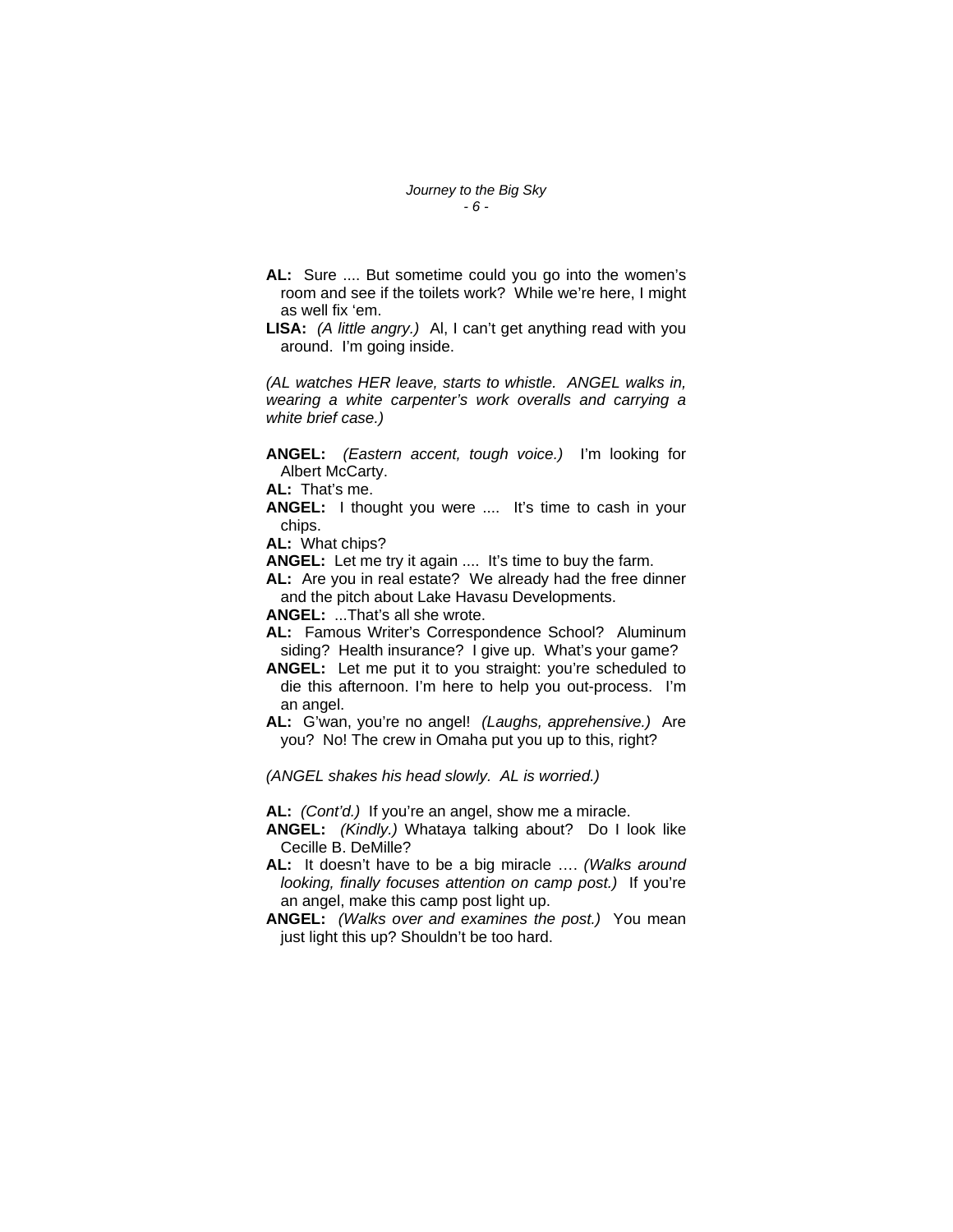- **AL:** Sure .... But sometime could you go into the women's room and see if the toilets work? While we're here, I might as well fix 'em.
- **LISA:** *(A little angry.)* Al, I can't get anything read with you around. I'm going inside.

*(AL watches HER leave, starts to whistle. ANGEL walks in, wearing a white carpenter's work overalls and carrying a white brief case.)* 

**ANGEL:** *(Eastern accent, tough voice.)* I'm looking for Albert McCarty.

**AL:** That's me.

**ANGEL:** I thought you were .... It's time to cash in your chips.

**AL:** What chips?

**ANGEL:** Let me try it again .... It's time to buy the farm.

**AL:** Are you in real estate? We already had the free dinner and the pitch about Lake Havasu Developments.

**ANGEL:** ...That's all she wrote.

- **AL:** Famous Writer's Correspondence School? Aluminum siding? Health insurance? I give up. What's your game?
- **ANGEL:** Let me put it to you straight: you're scheduled to die this afternoon. I'm here to help you out-process. I'm an angel.

**AL:** G'wan, you're no angel! *(Laughs, apprehensive.)* Are you? No! The crew in Omaha put you up to this, right?

*(ANGEL shakes his head slowly. AL is worried.)*

**AL:** *(Cont'd.)* If you're an angel, show me a miracle.

**ANGEL:** *(Kindly.)* Whataya talking about? Do I look like Cecille B. DeMille?

- **AL:** It doesn't have to be a big miracle …. *(Walks around looking, finally focuses attention on camp post.)* If you're an angel, make this camp post light up.
- **ANGEL:** *(Walks over and examines the post.)* You mean just light this up? Shouldn't be too hard.